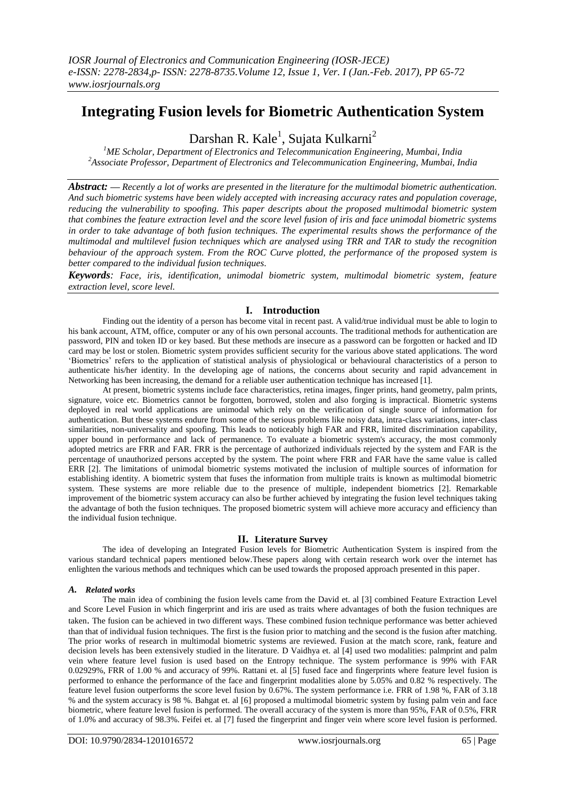# **Integrating Fusion levels for Biometric Authentication System**

Darshan R. Kale<sup>1</sup>, Sujata Kulkarni<sup>2</sup>

*<sup>1</sup>ME Scholar, Department of Electronics and Telecommunication Engineering, Mumbai, India <sup>2</sup>Associate Professor, Department of Electronics and Telecommunication Engineering, Mumbai, India*

*Abstract:* **—** *Recently a lot of works are presented in the literature for the multimodal biometric authentication. And such biometric systems have been widely accepted with increasing accuracy rates and population coverage, reducing the vulnerability to spoofing. This paper descripts about the proposed multimodal biometric system that combines the feature extraction level and the score level fusion of iris and face unimodal biometric systems in order to take advantage of both fusion techniques. The experimental results shows the performance of the multimodal and multilevel fusion techniques which are analysed using TRR and TAR to study the recognition behaviour of the approach system. From the ROC Curve plotted, the performance of the proposed system is better compared to the individual fusion techniques.*

*Keywords: Face, iris, identification, unimodal biometric system, multimodal biometric system, feature extraction level, score level.*

# **I. Introduction**

Finding out the identity of a person has become vital in recent past. A valid/true individual must be able to login to his bank account, ATM, office, computer or any of his own personal accounts. The traditional methods for authentication are password, PIN and token ID or key based. But these methods are insecure as a password can be forgotten or hacked and ID card may be lost or stolen. Biometric system provides sufficient security for the various above stated applications. The word "Biometrics" refers to the application of statistical analysis of physiological or behavioural characteristics of a person to authenticate his/her identity. In the developing age of nations, the concerns about security and rapid advancement in Networking has been increasing, the demand for a reliable user authentication technique has increased [1].

At present, biometric systems include face characteristics, retina images, finger prints, hand geometry, palm prints, signature, voice etc. Biometrics cannot be forgotten, borrowed, stolen and also forging is impractical. Biometric systems deployed in real world applications are unimodal which rely on the verification of single source of information for authentication. But these systems endure from some of the serious problems like noisy data, intra-class variations, inter-class similarities, non-universality and spoofing. This leads to noticeably high FAR and FRR, limited discrimination capability, upper bound in performance and lack of permanence. To evaluate a biometric system's accuracy, the most commonly adopted metrics are FRR and FAR. FRR is the percentage of authorized individuals rejected by the system and FAR is the percentage of unauthorized persons accepted by the system. The point where FRR and FAR have the same value is called ERR [2]. The limitations of unimodal biometric systems motivated the inclusion of multiple sources of information for establishing identity. A biometric system that fuses the information from multiple traits is known as multimodal biometric system. These systems are more reliable due to the presence of multiple, independent biometrics [2]. Remarkable improvement of the biometric system accuracy can also be further achieved by integrating the fusion level techniques taking the advantage of both the fusion techniques. The proposed biometric system will achieve more accuracy and efficiency than the individual fusion technique.

# **II. Literature Survey**

The idea of developing an Integrated Fusion levels for Biometric Authentication System is inspired from the various standard technical papers mentioned below.These papers along with certain research work over the internet has enlighten the various methods and techniques which can be used towards the proposed approach presented in this paper.

# *A. Related works*

The main idea of combining the fusion levels came from the David et. al [3] combined Feature Extraction Level and Score Level Fusion in which fingerprint and iris are used as traits where advantages of both the fusion techniques are taken. The fusion can be achieved in two different ways. These combined fusion technique performance was better achieved than that of individual fusion techniques. The first is the fusion prior to matching and the second is the fusion after matching. The prior works of research in multimodal biometric systems are reviewed. Fusion at the match score, rank, feature and decision levels has been extensively studied in the literature. D Vaidhya et. al [4] used two modalities: palmprint and palm vein where feature level fusion is used based on the Entropy technique. The system performance is 99% with FAR 0.02929%, FRR of 1.00 % and accuracy of 99%. Rattani et. al [5] fused face and fingerprints where feature level fusion is performed to enhance the performance of the face and fingerprint modalities alone by 5.05% and 0.82 % respectively. The feature level fusion outperforms the score level fusion by 0.67%. The system performance i.e. FRR of 1.98 %, FAR of 3.18 % and the system accuracy is 98 %. Bahgat et. al [6] proposed a multimodal biometric system by fusing palm vein and face biometric, where feature level fusion is performed. The overall accuracy of the system is more than 95%, FAR of 0.5%, FRR of 1.0% and accuracy of 98.3%. Feifei et. al [7] fused the fingerprint and finger vein where score level fusion is performed.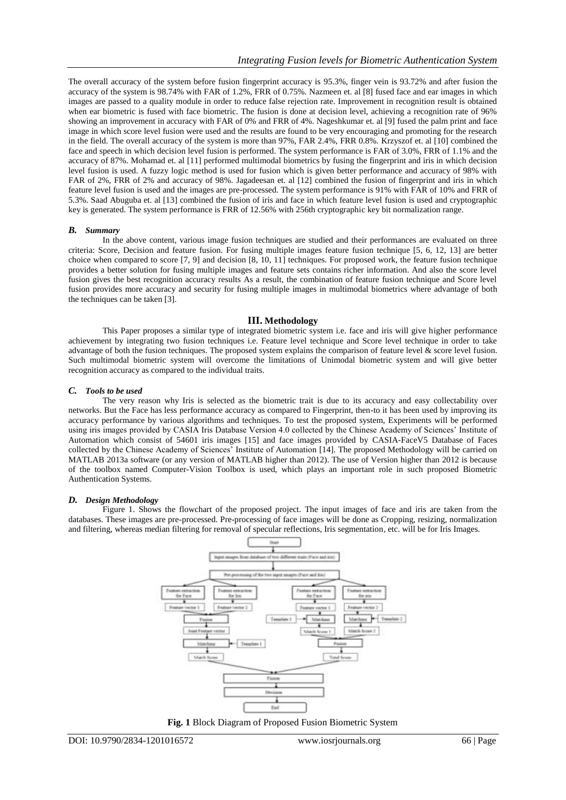The overall accuracy of the system before fusion fingerprint accuracy is 95.3%, finger vein is 93.72% and after fusion the accuracy of the system is 98.74% with FAR of 1.2%, FRR of 0.75%. Nazmeen et. al [8] fused face and ear images in which images are passed to a quality module in order to reduce false rejection rate. Improvement in recognition result is obtained when ear biometric is fused with face biometric. The fusion is done at decision level, achieving a recognition rate of 96% showing an improvement in accuracy with FAR of 0% and FRR of 4%. Nageshkumar et. al [9] fused the palm print and face image in which score level fusion were used and the results are found to be very encouraging and promoting for the research in the field. The overall accuracy of the system is more than 97%, FAR 2.4%, FRR 0.8%. Krzyszof et. al [10] combined the face and speech in which decision level fusion is performed. The system performance is FAR of 3.0%, FRR of 1.1% and the accuracy of 87%. Mohamad et. al [11] performed multimodal biometrics by fusing the fingerprint and iris in which decision level fusion is used. A fuzzy logic method is used for fusion which is given better performance and accuracy of 98% with FAR of 2%, FRR of 2% and accuracy of 98%. Jagadeesan et. al [12] combined the fusion of fingerprint and iris in which feature level fusion is used and the images are pre-processed. The system performance is 91% with FAR of 10% and FRR of 5.3%. Saad Abuguba et. al [13] combined the fusion of iris and face in which feature level fusion is used and cryptographic key is generated. The system performance is FRR of 12.56% with 256th cryptographic key bit normalization range.

#### *B. Summary*

In the above content, various image fusion techniques are studied and their performances are evaluated on three criteria: Score, Decision and feature fusion. For fusing multiple images feature fusion technique [5, 6, 12, 13] are better choice when compared to score [7, 9] and decision [8, 10, 11] techniques. For proposed work, the feature fusion technique provides a better solution for fusing multiple images and feature sets contains richer information. And also the score level fusion gives the best recognition accuracy results As a result, the combination of feature fusion technique and Score level fusion provides more accuracy and security for fusing multiple images in multimodal biometrics where advantage of both the techniques can be taken [3].

#### **III. Methodology**

This Paper proposes a similar type of integrated biometric system i.e. face and iris will give higher performance achievement by integrating two fusion techniques i.e. Feature level technique and Score level technique in order to take advantage of both the fusion techniques. The proposed system explains the comparison of feature level  $\&$  score level fusion. Such multimodal biometric system will overcome the limitations of Unimodal biometric system and will give better recognition accuracy as compared to the individual traits.

#### *C. Tools to be used*

The very reason why Iris is selected as the biometric trait is due to its accuracy and easy collectability over networks. But the Face has less performance accuracy as compared to Fingerprint, then-to it has been used by improving its accuracy performance by various algorithms and techniques. To test the proposed system, Experiments will be performed using iris images provided by CASIA Iris Database Version 4.0 collected by the Chinese Academy of Sciences" Institute of Automation which consist of 54601 iris images [15] and face images provided by CASIA-FaceV5 Database of Faces collected by the Chinese Academy of Sciences" Institute of Automation [14]. The proposed Methodology will be carried on MATLAB 2013a software (or any version of MATLAB higher than 2012). The use of Version higher than 2012 is because of the toolbox named Computer-Vision Toolbox is used, which plays an important role in such proposed Biometric Authentication Systems.

# *D. Design Methodology*

Figure 1. Shows the flowchart of the proposed project. The input images of face and iris are taken from the databases. These images are pre-processed. Pre-processing of face images will be done as Cropping, resizing, normalization and filtering, whereas median filtering for removal of specular reflections, Iris segmentation, etc. will be for Iris Images.



**Fig. 1** Block Diagram of Proposed Fusion Biometric System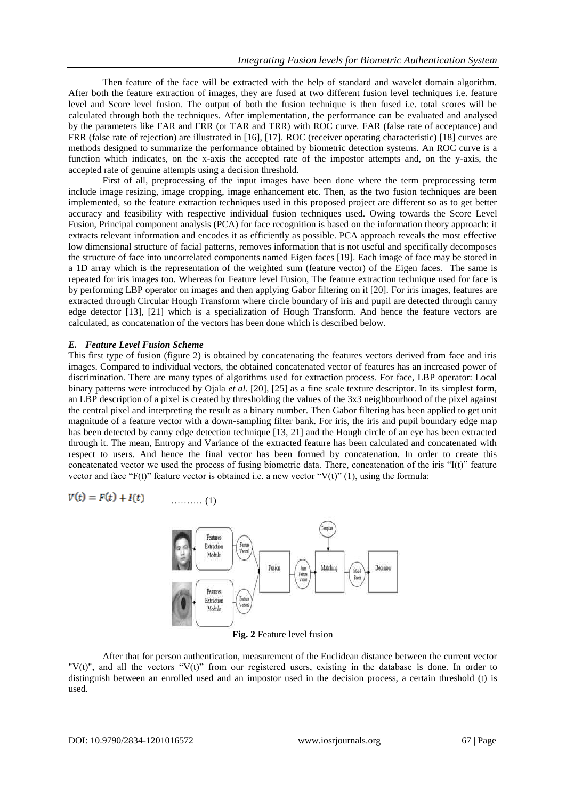Then feature of the face will be extracted with the help of standard and wavelet domain algorithm. After both the feature extraction of images, they are fused at two different fusion level techniques i.e. feature level and Score level fusion. The output of both the fusion technique is then fused i.e. total scores will be calculated through both the techniques. After implementation, the performance can be evaluated and analysed by the parameters like FAR and FRR (or TAR and TRR) with ROC curve. FAR (false rate of acceptance) and FRR (false rate of rejection) are illustrated in [16], [17]. ROC (receiver operating characteristic) [18] curves are methods designed to summarize the performance obtained by biometric detection systems. An ROC curve is a function which indicates, on the x-axis the accepted rate of the impostor attempts and, on the y-axis, the accepted rate of genuine attempts using a decision threshold.

First of all, preprocessing of the input images have been done where the term preprocessing term include image resizing, image cropping, image enhancement etc. Then, as the two fusion techniques are been implemented, so the feature extraction techniques used in this proposed project are different so as to get better accuracy and feasibility with respective individual fusion techniques used. Owing towards the Score Level Fusion, Principal component analysis (PCA) for face recognition is based on the information theory approach: it extracts relevant information and encodes it as efficiently as possible. PCA approach reveals the most effective low dimensional structure of facial patterns, removes information that is not useful and specifically decomposes the structure of face into uncorrelated components named Eigen faces [19]. Each image of face may be stored in a 1D array which is the representation of the weighted sum (feature vector) of the Eigen faces. The same is repeated for iris images too. Whereas for Feature level Fusion, The feature extraction technique used for face is by performing LBP operator on images and then applying Gabor filtering on it [20]. For iris images, features are extracted through Circular Hough Transform where circle boundary of iris and pupil are detected through canny edge detector [13], [21] which is a specialization of Hough Transform. And hence the feature vectors are calculated, as concatenation of the vectors has been done which is described below.

# *E. Feature Level Fusion Scheme*

This first type of fusion (figure 2) is obtained by concatenating the features vectors derived from face and iris images. Compared to individual vectors, the obtained concatenated vector of features has an increased power of discrimination. There are many types of algorithms used for extraction process. For face, LBP operator: Local binary patterns were introduced by Ojala *et al.* [20], [25] as a fine scale texture descriptor. In its simplest form, an LBP description of a pixel is created by thresholding the values of the 3x3 neighbourhood of the pixel against the central pixel and interpreting the result as a binary number. Then Gabor filtering has been applied to get unit magnitude of a feature vector with a down-sampling filter bank. For iris, the iris and pupil boundary edge map has been detected by canny edge detection technique [13, 21] and the Hough circle of an eye has been extracted through it. The mean, Entropy and Variance of the extracted feature has been calculated and concatenated with respect to users. And hence the final vector has been formed by concatenation. In order to create this concatenated vector we used the process of fusing biometric data. There, concatenation of the iris "I(t)" feature vector and face "F(t)" feature vector is obtained i.e. a new vector "V(t)" (1), using the formula:

$$
V(t) = F(t) + I(t) \qquad \qquad (1)
$$

J.

J.



**Fig. 2** Feature level fusion

After that for person authentication, measurement of the Euclidean distance between the current vector "V(t)", and all the vectors "V(t)" from our registered users, existing in the database is done. In order to distinguish between an enrolled used and an impostor used in the decision process, a certain threshold (t) is used.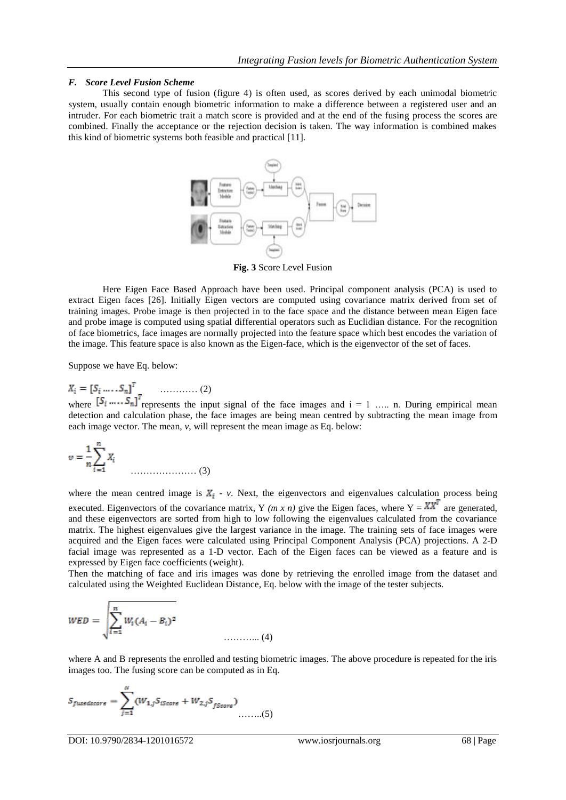## *F. Score Level Fusion Scheme*

This second type of fusion (figure 4) is often used, as scores derived by each unimodal biometric system, usually contain enough biometric information to make a difference between a registered user and an intruder. For each biometric trait a match score is provided and at the end of the fusing process the scores are combined. Finally the acceptance or the rejection decision is taken. The way information is combined makes this kind of biometric systems both feasible and practical [11].



**Fig. 3** Score Level Fusion

Here Eigen Face Based Approach have been used. Principal component analysis (PCA) is used to extract Eigen faces [26]. Initially Eigen vectors are computed using covariance matrix derived from set of training images. Probe image is then projected in to the face space and the distance between mean Eigen face and probe image is computed using spatial differential operators such as Euclidian distance. For the recognition of face biometrics, face images are normally projected into the feature space which best encodes the variation of the image. This feature space is also known as the Eigen-face, which is the eigenvector of the set of faces.

Suppose we have Eq. below:

$$
X_i = \begin{bmatrix} S_i & \dots & S_n \end{bmatrix}^T \qquad \dots \qquad (2)
$$

where  $\left[S_i \ldots S_n\right]$  represents the input signal of the face images and  $i = 1 \ldots n$ . During empirical mean detection and calculation phase, the face images are being mean centred by subtracting the mean image from each image vector. The mean, *v*, will represent the mean image as Eq. below:

$$
v = \frac{1}{n} \sum_{i=1}^{n} X_i
$$
 (3)

where the mean centred image is  $X_i$  - *v*. Next, the eigenvectors and eigenvalues calculation process being executed. Eigenvectors of the covariance matrix, Y (*m x n*) give the Eigen faces, where  $Y = \overline{XX}^T$  are generated, and these eigenvectors are sorted from high to low following the eigenvalues calculated from the covariance matrix. The highest eigenvalues give the largest variance in the image. The training sets of face images were acquired and the Eigen faces were calculated using Principal Component Analysis (PCA) projections. A 2-D facial image was represented as a 1-D vector. Each of the Eigen faces can be viewed as a feature and is expressed by Eigen face coefficients (weight).

Then the matching of face and iris images was done by retrieving the enrolled image from the dataset and calculated using the Weighted Euclidean Distance, Eq. below with the image of the tester subjects.

$$
WED = \sqrt{\sum_{i=1}^{n} W_i (A_i - B_i)^2}
$$
 (4)

where A and B represents the enrolled and testing biometric images. The above procedure is repeated for the iris images too. The fusing score can be computed as in Eq.

$$
S_{fusedscore} = \sum_{j=1}^{N} (W_{1,j} S_{iScore} + W_{2,j} S_{fScore}) \dots \dots (5)
$$

DOI: 10.9790/2834-1201016572 www.iosrjournals.org 68 | Page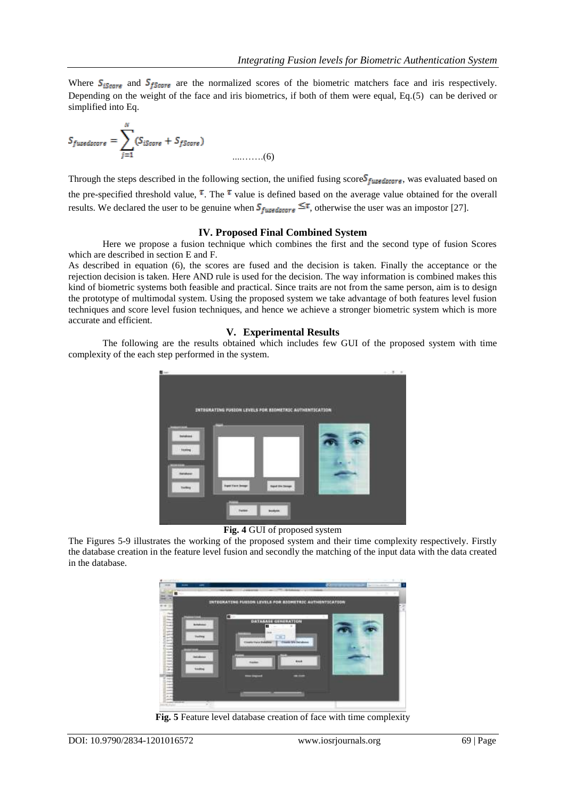Where  $S_{iscore}$  and  $S_{fScore}$  are the normalized scores of the biometric matchers face and iris respectively. Depending on the weight of the face and iris biometrics, if both of them were equal, Eq.(5) can be derived or simplified into Eq.

$$
S_{fusedscore} = \sum_{j=1}^{N} (S_{iScore} + S_{fScore})
$$
 (6)

Through the steps described in the following section, the unified fusing score  $S_{fusedcore}$ , was evaluated based on the pre-specified threshold value,  $\bar{\tau}$ . The  $\bar{\tau}$  value is defined based on the average value obtained for the overall results. We declared the user to be genuine when  $S_{fussdiscore} \leq \tau$ , otherwise the user was an impostor [27].

# **IV. Proposed Final Combined System**

Here we propose a fusion technique which combines the first and the second type of fusion Scores which are described in section E and F.

As described in equation (6), the scores are fused and the decision is taken. Finally the acceptance or the rejection decision is taken. Here AND rule is used for the decision. The way information is combined makes this kind of biometric systems both feasible and practical. Since traits are not from the same person, aim is to design the prototype of multimodal system. Using the proposed system we take advantage of both features level fusion techniques and score level fusion techniques, and hence we achieve a stronger biometric system which is more accurate and efficient.

#### **V. Experimental Results**

The following are the results obtained which includes few GUI of the proposed system with time complexity of the each step performed in the system.



**Fig. 4** GUI of proposed system

The Figures 5-9 illustrates the working of the proposed system and their time complexity respectively. Firstly the database creation in the feature level fusion and secondly the matching of the input data with the data created in the database.



**Fig. 5** Feature level database creation of face with time complexity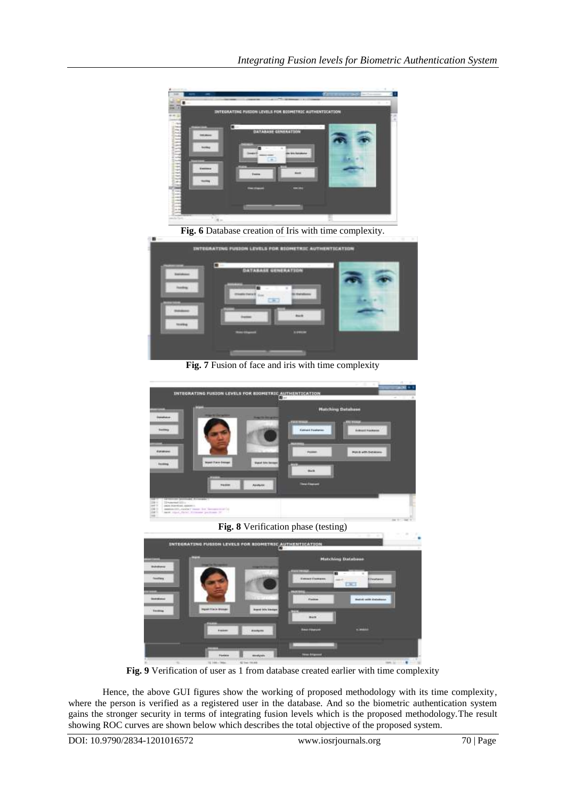

**Fig. 7** Fusion of face and iris with time complexity



**Fig. 8** Verification phase (testing)



**Fig. 9** Verification of user as 1 from database created earlier with time complexity

Hence, the above GUI figures show the working of proposed methodology with its time complexity, where the person is verified as a registered user in the database. And so the biometric authentication system gains the stronger security in terms of integrating fusion levels which is the proposed methodology.The result showing ROC curves are shown below which describes the total objective of the proposed system.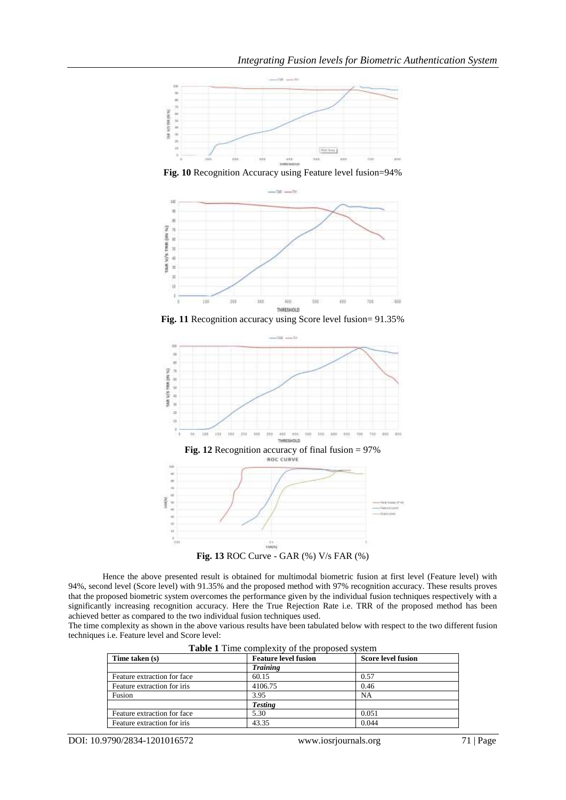

**Fig. 10** Recognition Accuracy using Feature level fusion=94%



Fig. 11 Recognition accuracy using Score level fusion=  $91.35\%$ 



Hence the above presented result is obtained for multimodal biometric fusion at first level (Feature level) with 94%, second level (Score level) with 91.35% and the proposed method with 97% recognition accuracy. These results proves that the proposed biometric system overcomes the performance given by the individual fusion techniques respectively with a significantly increasing recognition accuracy. Here the True Rejection Rate i.e. TRR of the proposed method has been achieved better as compared to the two individual fusion techniques used.

The time complexity as shown in the above various results have been tabulated below with respect to the two different fusion techniques i.e. Feature level and Score level:

| <b>Table 1</b> Thile complexity of the proposed system |                             |                           |  |
|--------------------------------------------------------|-----------------------------|---------------------------|--|
| Time taken (s)                                         | <b>Feature level fusion</b> | <b>Score level fusion</b> |  |
|                                                        | <b>Training</b>             |                           |  |
| Feature extraction for face                            | 60.15                       | 0.57                      |  |
| Feature extraction for iris                            | 4106.75                     | 0.46                      |  |
| Fusion                                                 | 3.95                        | <b>NA</b>                 |  |
|                                                        | <b>Testing</b>              |                           |  |
| Feature extraction for face                            | 5.30                        | 0.051                     |  |
| Feature extraction for iris                            | 43.35                       | 0.044                     |  |

**Table 1** Time complexity of the proposed system

DOI: 10.9790/2834-1201016572 www.iosrjournals.org 71 | Page